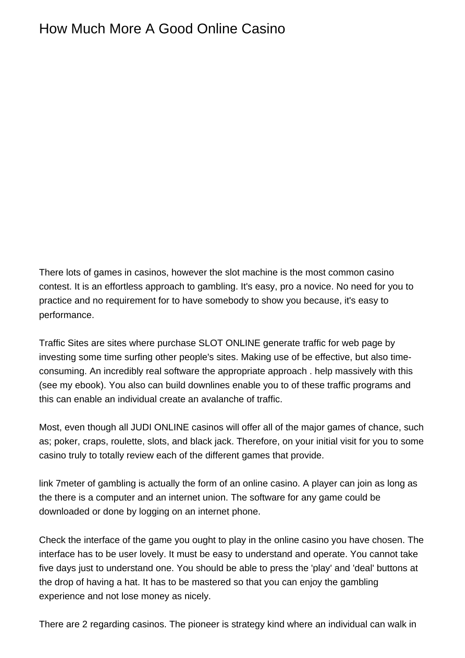## How Much More A Good Online Casino

There lots of games in casinos, however the slot machine is the most common casino contest. It is an effortless approach to gambling. It's easy, pro a novice. No need for you to practice and no requirement for to have somebody to show you because, it's easy to performance.

Traffic Sites are sites where purchase SLOT ONLINE generate traffic for web page by investing some time surfing other people's sites. Making use of be effective, but also timeconsuming. An incredibly real software the appropriate approach . help massively with this (see my ebook). You also can build downlines enable you to of these traffic programs and this can enable an individual create an avalanche of traffic.

Most, even though all JUDI ONLINE casinos will offer all of the major games of chance, such as; poker, craps, roulette, slots, and black jack. Therefore, on your initial visit for you to some casino truly to totally review each of the different games that provide.

[link 7meter](https://7meter-bet365.com/) of gambling is actually the form of an online casino. A player can join as long as the there is a computer and an internet union. The software for any game could be downloaded or done by logging on an internet phone.

Check the interface of the game you ought to play in the online casino you have chosen. The interface has to be user lovely. It must be easy to understand and operate. You cannot take five days just to understand one. You should be able to press the 'play' and 'deal' buttons at the drop of having a hat. It has to be mastered so that you can enjoy the gambling experience and not lose money as nicely.

There are 2 regarding casinos. The pioneer is strategy kind where an individual can walk in